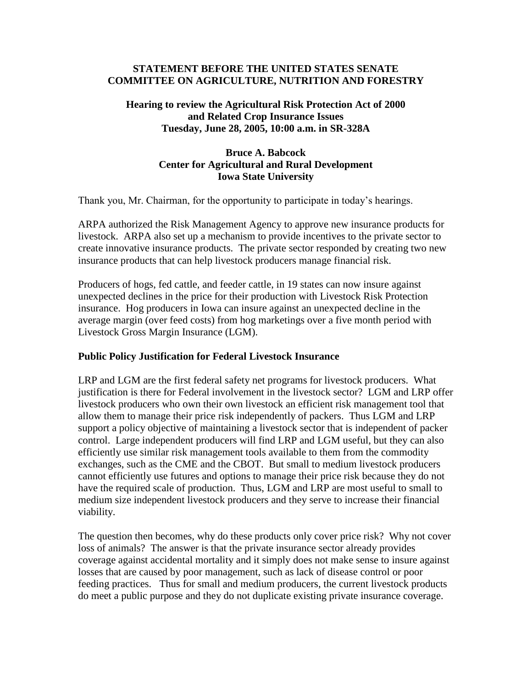#### **STATEMENT BEFORE THE UNITED STATES SENATE COMMITTEE ON AGRICULTURE, NUTRITION AND FORESTRY**

## **Hearing to review the Agricultural Risk Protection Act of 2000 and Related Crop Insurance Issues Tuesday, June 28, 2005, 10:00 a.m. in SR-328A**

## **Bruce A. Babcock Center for Agricultural and Rural Development Iowa State University**

Thank you, Mr. Chairman, for the opportunity to participate in today's hearings.

ARPA authorized the Risk Management Agency to approve new insurance products for livestock. ARPA also set up a mechanism to provide incentives to the private sector to create innovative insurance products. The private sector responded by creating two new insurance products that can help livestock producers manage financial risk.

Producers of hogs, fed cattle, and feeder cattle, in 19 states can now insure against unexpected declines in the price for their production with Livestock Risk Protection insurance. Hog producers in Iowa can insure against an unexpected decline in the average margin (over feed costs) from hog marketings over a five month period with Livestock Gross Margin Insurance (LGM).

### **Public Policy Justification for Federal Livestock Insurance**

LRP and LGM are the first federal safety net programs for livestock producers. What justification is there for Federal involvement in the livestock sector? LGM and LRP offer livestock producers who own their own livestock an efficient risk management tool that allow them to manage their price risk independently of packers. Thus LGM and LRP support a policy objective of maintaining a livestock sector that is independent of packer control. Large independent producers will find LRP and LGM useful, but they can also efficiently use similar risk management tools available to them from the commodity exchanges, such as the CME and the CBOT. But small to medium livestock producers cannot efficiently use futures and options to manage their price risk because they do not have the required scale of production. Thus, LGM and LRP are most useful to small to medium size independent livestock producers and they serve to increase their financial viability.

The question then becomes, why do these products only cover price risk? Why not cover loss of animals? The answer is that the private insurance sector already provides coverage against accidental mortality and it simply does not make sense to insure against losses that are caused by poor management, such as lack of disease control or poor feeding practices. Thus for small and medium producers, the current livestock products do meet a public purpose and they do not duplicate existing private insurance coverage.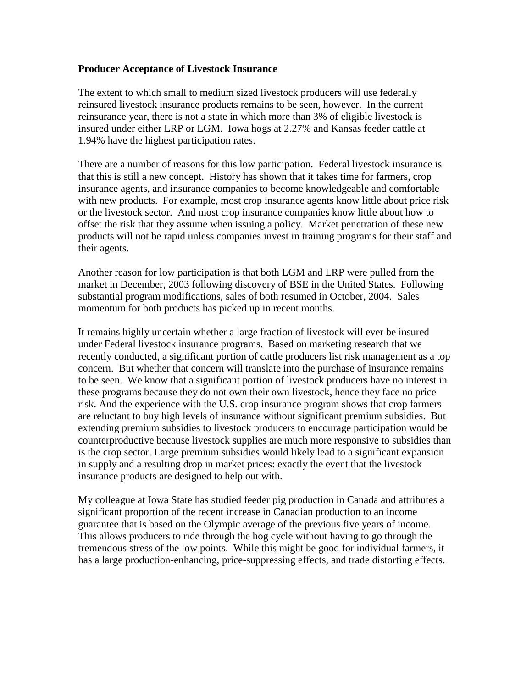#### **Producer Acceptance of Livestock Insurance**

The extent to which small to medium sized livestock producers will use federally reinsured livestock insurance products remains to be seen, however. In the current reinsurance year, there is not a state in which more than 3% of eligible livestock is insured under either LRP or LGM. Iowa hogs at 2.27% and Kansas feeder cattle at 1.94% have the highest participation rates.

There are a number of reasons for this low participation. Federal livestock insurance is that this is still a new concept. History has shown that it takes time for farmers, crop insurance agents, and insurance companies to become knowledgeable and comfortable with new products. For example, most crop insurance agents know little about price risk or the livestock sector. And most crop insurance companies know little about how to offset the risk that they assume when issuing a policy. Market penetration of these new products will not be rapid unless companies invest in training programs for their staff and their agents.

Another reason for low participation is that both LGM and LRP were pulled from the market in December, 2003 following discovery of BSE in the United States. Following substantial program modifications, sales of both resumed in October, 2004. Sales momentum for both products has picked up in recent months.

It remains highly uncertain whether a large fraction of livestock will ever be insured under Federal livestock insurance programs. Based on marketing research that we recently conducted, a significant portion of cattle producers list risk management as a top concern. But whether that concern will translate into the purchase of insurance remains to be seen. We know that a significant portion of livestock producers have no interest in these programs because they do not own their own livestock, hence they face no price risk. And the experience with the U.S. crop insurance program shows that crop farmers are reluctant to buy high levels of insurance without significant premium subsidies. But extending premium subsidies to livestock producers to encourage participation would be counterproductive because livestock supplies are much more responsive to subsidies than is the crop sector. Large premium subsidies would likely lead to a significant expansion in supply and a resulting drop in market prices: exactly the event that the livestock insurance products are designed to help out with.

My colleague at Iowa State has studied feeder pig production in Canada and attributes a significant proportion of the recent increase in Canadian production to an income guarantee that is based on the Olympic average of the previous five years of income. This allows producers to ride through the hog cycle without having to go through the tremendous stress of the low points. While this might be good for individual farmers, it has a large production-enhancing, price-suppressing effects, and trade distorting effects.